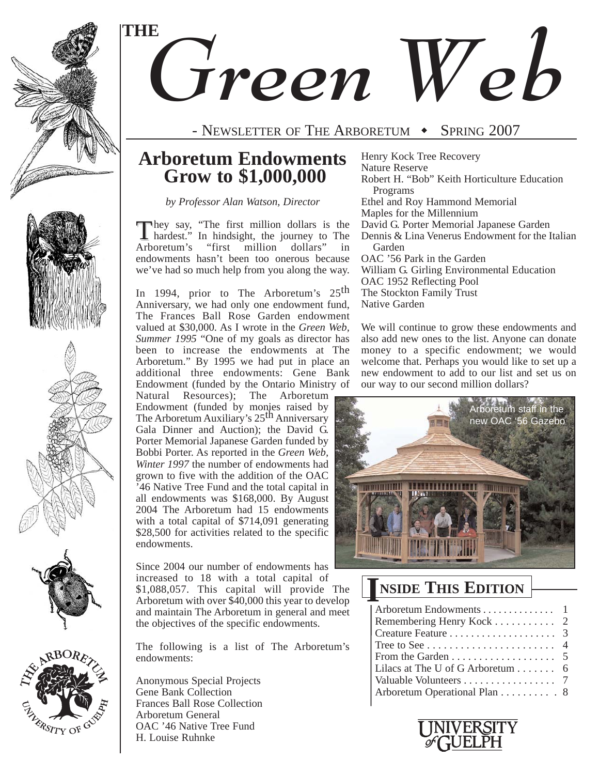

RSITY OF G

# *Green Web* **THE**

### - NEWSLETTER OF THE ARBORETUM  $\rightarrow$  Spring 2007

### **Arboretum Endowments Grow to \$1,000,000**

*by Professor Alan Watson, Director*

They say, "The first million dollars is the hardest." In hindsight, the journey to The Arboretum's "first million dollars" in endowments hasn't been too onerous because we've had so much help from you along the way.

In 1994, prior to The Arboretum's 25<sup>th</sup> Anniversary, we had only one endowment fund, The Frances Ball Rose Garden endowment valued at \$30,000. As I wrote in the *Green Web, Summer 1995* "One of my goals as director has been to increase the endowments at The Arboretum." By 1995 we had put in place an additional three endowments: Gene Bank Endowment (funded by the Ontario Ministry of

Natural Resources); The Arboretum Endowment (funded by monies raised by The Arboretum Auxiliary's 25<sup>th</sup> Anniversary Gala Dinner and Auction); the David G. Porter Memorial Japanese Garden funded by Bobbi Porter. As reported in the *Green Web, Winter 1997* the number of endowments had grown to five with the addition of the OAC '46 Native Tree Fund and the total capital in all endowments was \$168,000. By August 2004 The Arboretum had 15 endowments with a total capital of \$714,091 generating \$28,500 for activities related to the specific endowments.

Since 2004 our number of endowments has increased to 18 with a total capital of \$1,088,057. This capital will provide The Arboretum with over  $$40,000$  this year to develop and maintain The Arboretum in general and meet the objectives of the specific endowments.

The following is a list of The Arboretum's endowments:

Anonymous Special Projects Gene Bank Collection Frances Ball Rose Collection Arboretum General OAC '46 Native Tree Fund H. Louise Ruhnke

Henry Kock Tree Recovery Nature Reserve Robert H. "Bob" Keith Horticulture Education Programs Ethel and Roy Hammond Memorial Maples for the Millennium David G. Porter Memorial Japanese Garden Dennis & Lina Venerus Endowment for the Italian Garden OAC '56 Park in the Garden William G. Girling Environmental Education OAC 1952 Reflecting Pool The Stockton Family Trust Native Garden

We will continue to grow these endowments and also add new ones to the list. Anyone can donate money to a specific endowment; we would welcome that. Perhaps you would like to set up a new endowment to add to our list and set us on our way to our second million dollars?



# **NSIDE THIS EDITION I**

| Arboretum Endowments 1                          |  |
|-------------------------------------------------|--|
| Remembering Henry Kock $\ldots \ldots \ldots$ 2 |  |
|                                                 |  |
|                                                 |  |
|                                                 |  |
| Lilacs at The U of G Arboretum $\dots \dots$ 6  |  |
| Valuable Volunteers 7                           |  |
| Arboretum Operational Plan 8                    |  |
|                                                 |  |

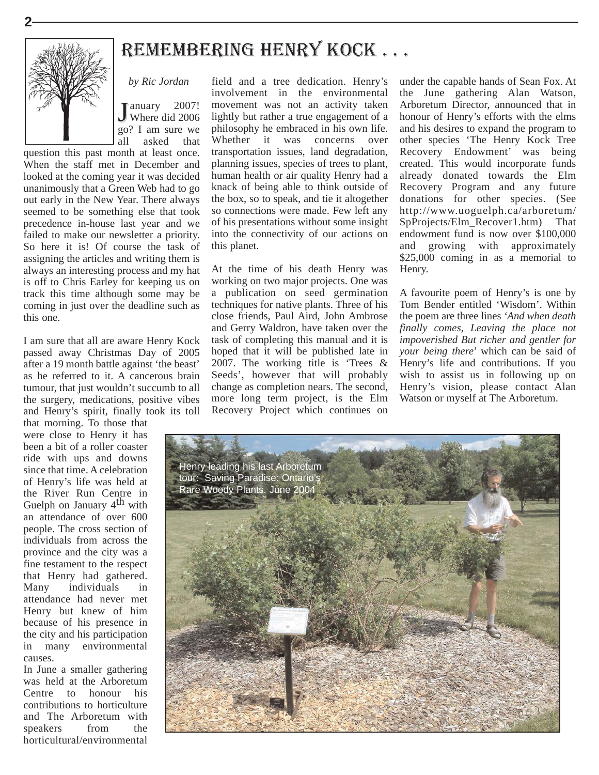

# remembering HenrY KOCK . . .

January 2007!<br>Where did 2006 go? I am sure we all asked that

*by Ric Jordan*

question this past month at least once. When the staff met in December and looked at the coming year it was decided unanimously that a Green Web had to go out early in the New Year. There always seemed to be something else that took precedence in-house last year and we failed to make our newsletter a priority. So here it is! Of course the task of assigning the articles and writing them is always an interesting process and my hat is off to Chris Earley for keeping us on track this time although some may be coming in just over the deadline such as this one.

I am sure that all are aware Henry Kock passed away Christmas Day of 2005 after a 19 month battle against 'the beast' as he referred to it. A cancerous brain tumour, that just wouldn't succumb to all the surgery, medications, positive vibes and Henry's spirit, finally took its toll

that morning. To those that were close to Henry it has been a bit of a roller coaster ride with ups and downs since that time. A celebration of Henry's life was held at the River Run Centre in Guelph on January 4<sup>th</sup> with an attendance of over 600 people. The cross section of individuals from across the province and the city was a fine testament to the respect that Henry had gathered. Many individuals in attendance had never met Henry but knew of him because of his presence in the city and his participation in many environmental causes.

In June a smaller gathering was held at the Arboretum Centre to honour his contributions to horticulture and The Arboretum with speakers from the horticultural/environmental

field and a tree dedication. Henry's involvement in the environmental movement was not an activity taken lightly but rather a true engagement of a philosophy he embraced in his own life. Whether it was concerns over transportation issues, land degradation, planning issues, species of trees to plant, human health or air quality Henry had a knack of being able to think outside of the box, so to speak, and tie it altogether so connections were made. Few left any of his presentations without some insight into the connectivity of our actions on this planet.

At the time of his death Henry was working on two major projects. One was a publication on seed germination techniques for native plants. Three of his close friends, Paul Aird, John Ambrose and Gerry Waldron, have taken over the task of completing this manual and it is hoped that it will be published late in 2007. The working title is 'Trees & Seeds', however that will probably change as completion nears. The second, more long term project, is the Elm Recovery Project which continues on under the capable hands of Sean Fox. At the June gathering Alan Watson, Arboretum Director, announced that in honour of Henry's efforts with the elms and his desires to expand the program to other species 'The Henry Kock Tree Recovery Endowment' was being created. This would incorporate funds already donated towards the Elm Recovery Program and any future donations for other species. (See http://www.uoguelph.ca/arboretum/ SpProjects/Elm\_Recover1.htm) That endowment fund is now over \$100,000 and growing with approximately \$25,000 coming in as a memorial to Henry.

A favourite poem of Henry's is one by Tom Bender entitled 'Wisdom'. Within the poem are three lines *'And when death finally comes, Leaving the place not impoverished But richer and gentler for your being there*' which can be said of Henry's life and contributions. If you wish to assist us in following up on Henry's vision, please contact Alan Watson or myself at The Arboretum.

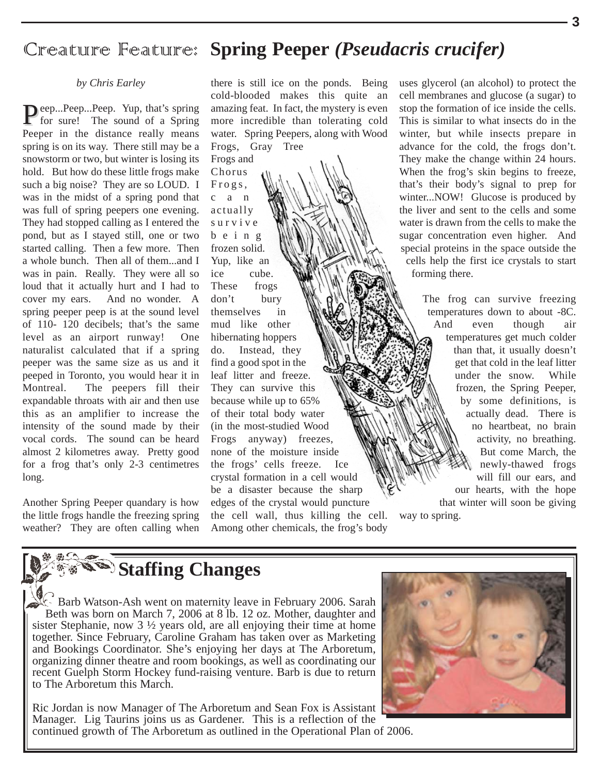### Creature Feature: **Spring Peeper** *(Pseudacris crucifer)*

#### *by Chris Earley*

Peep...Peep...Peep. Yup, that's spring for sure! The sound of a Spring Peeper in the distance really means spring is on its way. There still may be a snowstorm or two, but winter is losing its hold. But how do these little frogs make such a big noise? They are so LOUD. I was in the midst of a spring pond that was full of spring peepers one evening. They had stopped calling as I entered the pond, but as I stayed still, one or two started calling. Then a few more. Then a whole bunch. Then all of them...and I was in pain. Really. They were all so loud that it actually hurt and I had to cover my ears. And no wonder. A spring peeper peep is at the sound level of 110- 120 decibels; that's the same level as an airport runway! One naturalist calculated that if a spring peeper was the same size as us and it peeped in Toronto, you would hear it in Montreal. The peepers fill their expandable throats with air and then use this as an amplifier to increase the intensity of the sound made by their vocal cords. The sound can be heard almost 2 kilometres away. Pretty good for a frog that's only 2-3 centimetres long.

Another Spring Peeper quandary is how the little frogs handle the freezing spring weather? They are often calling when

there is still ice on the ponds. Being cold-blooded makes this quite an amazing feat. In fact, the mystery is even more incredible than tolerating cold water. Spring Peepers, along with Wood Frogs, Gray Tree

Frogs and Chorus Frogs, c a n actually survive being frozen solid. Yup, like an ice cube. These frogs don't bury themselves in mud like other hibernating hoppers do. Instead, they find a good spot in the leaf litter and freeze. They can survive this because while up to 65% of their total body water (in the most-studied Wood Frogs anyway) freezes, none of the moisture inside the frogs' cells freeze. Ice crystal formation in a cell would be a disaster because the sharp edges of the crystal would puncture the cell wall, thus killing the cell. Among other chemicals, the frog's body

uses glycerol (an alcohol) to protect the cell membranes and glucose (a sugar) to stop the formation of ice inside the cells. This is similar to what insects do in the winter, but while insects prepare in advance for the cold, the frogs don't. They make the change within 24 hours. When the frog's skin begins to freeze, that's their body's signal to prep for winter...NOW! Glucose is produced by the liver and sent to the cells and some water is drawn from the cells to make the sugar concentration even higher. And special proteins in the space outside the cells help the first ice crystals to start forming there.

> The frog can survive freezing temperatures down to about -8C. And even though air temperatures get much colder than that, it usually doesn't get that cold in the leaf litter under the snow. While frozen, the Spring Peeper, by some definitions, is actually dead. There is no heartbeat, no brain activity, no breathing. But come March, the newly-thawed frogs will fill our ears, and our hearts, with the hope that winter will soon be giving

way to spring.

# **Staffing Changes**

Barb Watson-Ash went on maternity leave in February 2006. Sarah Beth was born on March 7, 2006 at 8 lb. 12 oz. Mother, daughter and sister Stephanie, now 3 ½ years old, are all enjoying their time at home together. Since February, Caroline Graham has taken over as Marketing and Bookings Coordinator. She's enjoying her days at The Arboretum, organizing dinner theatre and room bookings, as well as coordinating our recent Guelph Storm Hockey fund-raising venture. Barb is due to return to The Arboretum this March.

Ric Jordan is now Manager of The Arboretum and Sean Fox is Assistant Manager. Lig Taurins joins us as Gardener. This is a reflection of the continued growth of The Arboretum as outlined in the Operational Plan of 2006.

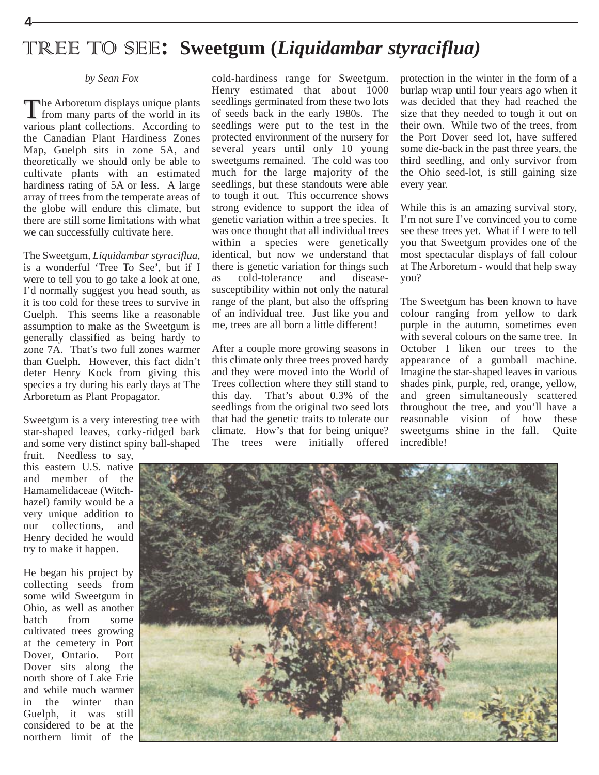# TREE TO SEE**: Sweetgum (***Liquidambar styraciflua)*

#### *by Sean Fox*

The Arboretum displays unique plants<br>
I from many parts of the world in its various plant collections. According to the Canadian Plant Hardiness Zones Map, Guelph sits in zone 5A, and theoretically we should only be able to cultivate plants with an estimated hardiness rating of 5A or less. A large array of trees from the temperate areas of the globe will endure this climate, but there are still some limitations with what we can successfully cultivate here.

The Sweetgum, *Liquidambar styraciflua*, is a wonderful 'Tree To See', but if I were to tell you to go take a look at one, I'd normally suggest you head south, as it is too cold for these trees to survive in Guelph. This seems like a reasonable assumption to make as the Sweetgum is generally classified as being hardy to zone 7A. That's two full zones warmer than Guelph. However, this fact didn't deter Henry Kock from giving this species a try during his early days at The Arboretum as Plant Propagator.

Sweetgum is a very interesting tree with star-shaped leaves, corky-ridged bark and some very distinct spiny ball-shaped fruit. Needless to say,

this eastern U.S. native and member of the Hamamelidaceae (Witchhazel) family would be a very unique addition to our collections, and Henry decided he would try to make it happen.

He began his project by collecting seeds from some wild Sweetgum in Ohio, as well as another batch from some cultivated trees growing at the cemetery in Port Dover, Ontario. Port Dover sits along the north shore of Lake Erie and while much warmer in the winter than Guelph, it was still considered to be at the northern limit of the

cold-hardiness range for Sweetgum. Henry estimated that about 1000 seedlings germinated from these two lots of seeds back in the early 1980s. The seedlings were put to the test in the protected environment of the nursery for several years until only 10 young sweetgums remained. The cold was too much for the large majority of the seedlings, but these standouts were able to tough it out. This occurrence shows strong evidence to support the idea of genetic variation within a tree species. It was once thought that all individual trees within a species were genetically identical, but now we understand that there is genetic variation for things such as cold-tolerance and diseasesusceptibility within not only the natural range of the plant, but also the offspring of an individual tree. Just like you and me, trees are all born a little different!

After a couple more growing seasons in this climate only three trees proved hardy and they were moved into the World of Trees collection where they still stand to this day. That's about 0.3% of the seedlings from the original two seed lots that had the genetic traits to tolerate our climate. How's that for being unique? The trees were initially offered

protection in the winter in the form of a burlap wrap until four years ago when it was decided that they had reached the size that they needed to tough it out on their own. While two of the trees, from the Port Dover seed lot, have suffered some die-back in the past three years, the third seedling, and only survivor from the Ohio seed-lot, is still gaining size every year.

While this is an amazing survival story, I'm not sure I've convinced you to come see these trees yet. What if I were to tell you that Sweetgum provides one of the most spectacular displays of fall colour at The Arboretum - would that help sway you?

The Sweetgum has been known to have colour ranging from yellow to dark purple in the autumn, sometimes even with several colours on the same tree. In October I liken our trees to the appearance of a gumball machine. Imagine the star-shaped leaves in various shades pink, purple, red, orange, yellow, and green simultaneously scattered throughout the tree, and you'll have a reasonable vision of how these sweetgums shine in the fall. Quite incredible!

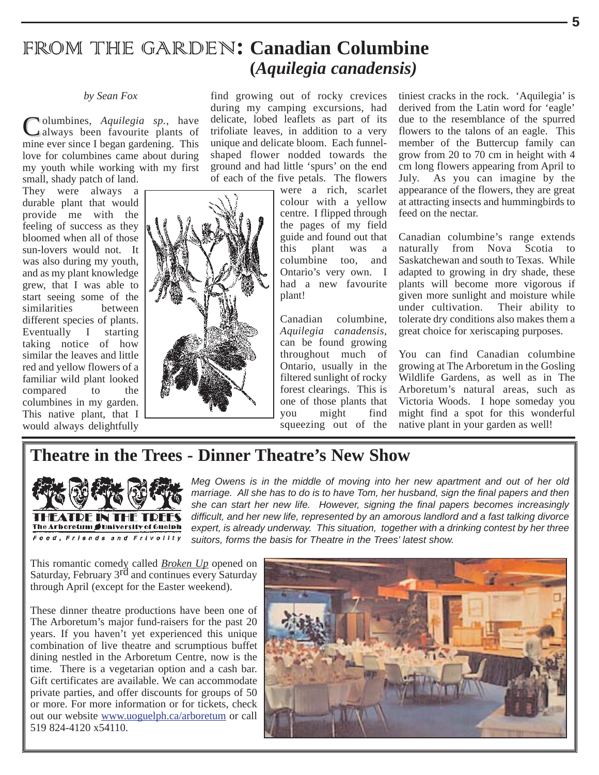# FROM THE GARDEN**: Canadian Columbine (***Aquilegia canadensis)*

#### *by Sean Fox*

Columbines, *Aquilegia sp.*, have always been favourite plants of mine ever since I began gardening. This love for columbines came about during my youth while working with my first small, shady patch of land.

They were always a durable plant that would provide me with the feeling of success as they bloomed when all of those sun-lovers would not. It was also during my youth, and as my plant knowledge grew, that I was able to start seeing some of the similarities between different species of plants. Eventually I starting taking notice of how similar the leaves and little red and yellow flowers of a familiar wild plant looked compared to the columbines in my garden. This native plant, that I would always delightfully

during my camping excursions, had delicate, lobed leaflets as part of its trifoliate leaves, in addition to a very unique and delicate bloom. Each funnelshaped flower nodded towards the ground and had little 'spurs' on the end of each of the five petals. The flowers were a rich, scarlet

find growing out of rocky crevices

colour with a yellow centre. I flipped through the pages of my field guide and found out that this plant was a columbine too, and Ontario's very own. I had a new favourite plant!

Canadian columbine, *Aquilegia canadensis*, can be found growing throughout much of Ontario, usually in the filtered sunlight of rocky forest clearings. This is one of those plants that you might find squeezing out of the

tiniest cracks in the rock. 'Aquilegia' is derived from the Latin word for 'eagle' due to the resemblance of the spurred flowers to the talons of an eagle. This member of the Buttercup family can grow from 20 to 70 cm in height with 4 cm long flowers appearing from April to July. As you can imagine by the appearance of the flowers, they are great at attracting insects and hummingbirds to feed on the nectar.

Canadian columbine's range extends naturally from Nova Scotia to Saskatchewan and south to Texas. While adapted to growing in dry shade, these plants will become more vigorous if given more sunlight and moisture while<br>under cultivation. Their ability to under cultivation. tolerate dry conditions also makes them a great choice for xeriscaping purposes.

You can find Canadian columbine growing at The Arboretum in the Gosling Wildlife Gardens, as well as in The Arboretum's natural areas, such as Victoria Woods. I hope someday you might find a spot for this wonderful native plant in your garden as well!

# **Theatre in the Trees - Dinner Theatre's New Show**



*Meg Owens is in the middle of moving into her new apartment and out of her old marriage. All she has to do is to have Tom, her husband, sign the final papers and then she can start her new life. However, signing the final papers becomes increasingly difficult, and her new life, represented by an amorous landlord and a fast talking divorce expert, is already underway. This situation, together with a drinking contest by her three suitors, forms the basis for Theatre in the Trees' latest show.*

This romantic comedy called *Broken Up* opened on Saturday, February 3<sup>rd</sup> and continues every Saturday through April (except for the Easter weekend).

These dinner theatre productions have been one of The Arboretum's major fund-raisers for the past 20 years. If you haven't yet experienced this unique combination of live theatre and scrumptious buffet dining nestled in the Arboretum Centre, now is the time. There is a vegetarian option and a cash bar. Gift certificates are available. We can accommodate private parties, and offer discounts for groups of 50 or more. For more information or for tickets, check out our website www.uoguelph.ca/arboretum or call 519 824-4120 x54110.

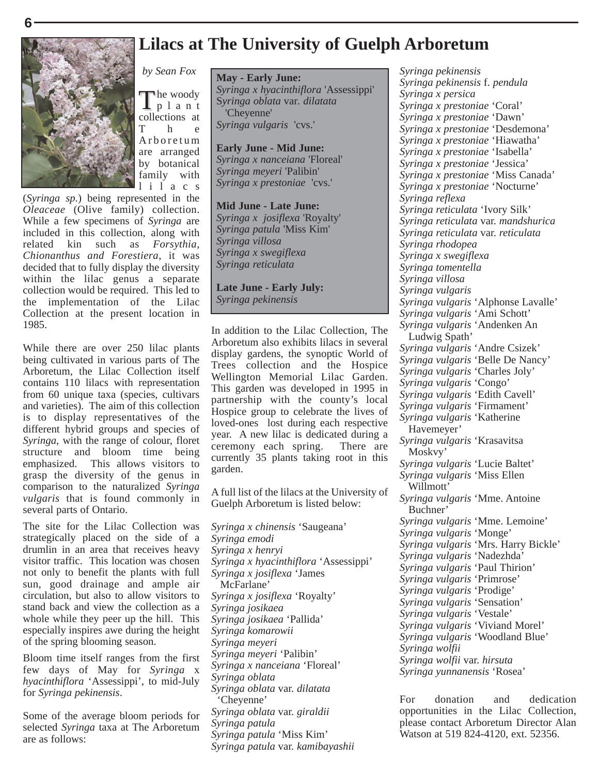

*by Sean Fox*

The woody<br>plant collections at<br>T h e h e Arboretum are arranged by botanical family with lilacs

(*Syringa sp.*) being represented in the *Oleaceae* (Olive family) collection. While a few specimens of *Syringa* are included in this collection, along with related kin such as *Forsythia, Chionanthus and Forestiera*, it was decided that to fully display the diversity within the lilac genus a separate collection would be required. This led to the implementation of the Lilac Collection at the present location in 1985.

While there are over 250 lilac plants being cultivated in various parts of The Arboretum, the Lilac Collection itself contains 110 lilacs with representation from 60 unique taxa (species, cultivars and varieties). The aim of this collection is to display representatives of the different hybrid groups and species of *Syringa*, with the range of colour, floret structure and bloom time being emphasized. This allows visitors to grasp the diversity of the genus in comparison to the naturalized *Syringa vulgaris* that is found commonly in several parts of Ontario.

The site for the Lilac Collection was strategically placed on the side of a drumlin in an area that receives heavy visitor traffic. This location was chosen not only to benefit the plants with full sun, good drainage and ample air circulation, but also to allow visitors to stand back and view the collection as a whole while they peer up the hill. This especially inspires awe during the height of the spring blooming season.

Bloom time itself ranges from the first few days of May for *Syringa* x *hyacinthiflora* 'Assessippi', to mid-July for *Syringa pekinensis*.

Some of the average bloom periods for selected *Syringa* taxa at The Arboretum are as follows:

#### **May - Early June:**

*Syringa x hyacinthiflora* 'Assessippi' S*yringa oblata* var*. dilatata*  'Cheyenne' *Syringa vulgaris* 'cvs.'

**Early June - Mid June:**  *Syringa x nanceiana* 'Floreal' *Syringa meyeri* 'Palibin' *Syringa x prestoniae* 'cvs.'

**Mid June - Late June:**  *Syringa x josiflexa* 'Royalty' *Syringa patula* 'Miss Kim' *Syringa villosa Syringa x swegiflexa Syringa reticulata*

**Late June - Early July:** *Syringa pekinensis*

In addition to the Lilac Collection, The Arboretum also exhibits lilacs in several display gardens, the synoptic World of Trees collection and the Hospice Wellington Memorial Lilac Garden. This garden was developed in 1995 in partnership with the county's local Hospice group to celebrate the lives of loved-ones lost during each respective year. A new lilac is dedicated during a ceremony each spring. There are currently 35 plants taking root in this garden.

A full list of the lilacs at the University of Guelph Arboretum is listed below:

*Syringa x chinensis* 'Saugeana' *Syringa emodi Syringa x henryi Syringa x hyacinthiflora* 'Assessippi' *Syringa x josiflexa* 'James McFarlane' *Syringa x josiflexa* 'Royalty' *Syringa josikaea Syringa josikaea* 'Pallida' *Syringa komarowii Syringa meyeri Syringa meyeri* 'Palibin' *Syringa x nanceiana* 'Floreal' *Syringa oblata Syringa oblata* var. *dilatata* 'Cheyenne' *Syringa oblata* var. *giraldii Syringa patula Syringa patula* 'Miss Kim' *Syringa patula* var. *kamibayashii*

*Syringa pekinensis Syringa pekinensis* f. *pendula Syringa x persica Syringa x prestoniae* 'Coral' *Syringa x prestoniae* 'Dawn' *Syringa x prestoniae* 'Desdemona' *Syringa x prestoniae* 'Hiawatha' *Syringa x prestoniae* 'Isabella' *Syringa x prestoniae* 'Jessica' *Syringa x prestoniae* 'Miss Canada' *Syringa x prestoniae* 'Nocturne' *Syringa reflexa Syringa reticulata* 'Ivory Silk' *Syringa reticulata* var. *mandshurica Syringa reticulata* var. *reticulata Syringa rhodopea Syringa x swegiflexa Syringa tomentella Syringa villosa Syringa vulgaris Syringa vulgaris* 'Alphonse Lavalle' *Syringa vulgaris* 'Ami Schott' *Syringa vulgaris* 'Andenken An Ludwig Spath' *Syringa vulgaris* 'Andre Csizek' *Syringa vulgaris* 'Belle De Nancy' *Syringa vulgaris* 'Charles Joly' *Syringa vulgaris* 'Congo' *Syringa vulgaris* 'Edith Cavell' *Syringa vulgaris* 'Firmament' *Syringa vulgaris* 'Katherine Havemeyer' *Syringa vulgaris* 'Krasavitsa Moskvy' *Syringa vulgaris* 'Lucie Baltet' *Syringa vulgaris* 'Miss Ellen Willmott' *Syringa vulgaris* 'Mme. Antoine Buchner' *Syringa vulgaris* 'Mme. Lemoine' *Syringa vulgaris* 'Monge' *Syringa vulgaris* 'Mrs. Harry Bickle' *Syringa vulgaris* 'Nadezhda' *Syringa vulgaris* 'Paul Thirion' *Syringa vulgaris* 'Primrose' *Syringa vulgaris* 'Prodige' *Syringa vulgaris* 'Sensation' *Syringa vulgaris* 'Vestale' *Syringa vulgaris* 'Viviand Morel' *Syringa vulgaris* 'Woodland Blue' *Syringa wolfii Syringa wolfii* var. *hirsuta Syringa yunnanensis* 'Rosea'

For donation and dedication opportunities in the Lilac Collection, please contact Arboretum Director Alan Watson at 519 824-4120, ext. 52356.

### **Lilacs at The University of Guelph Arboretum**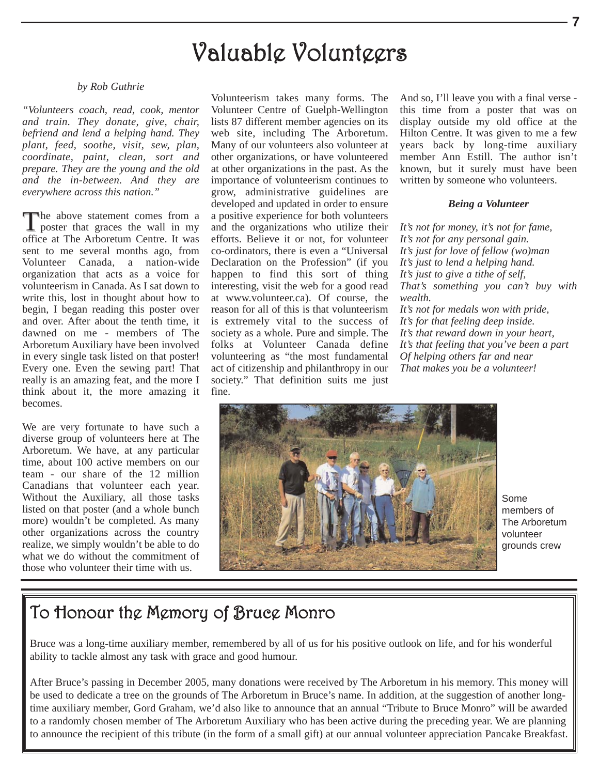# Valuable Volunteers

#### *by Rob Guthrie*

*"Volunteers coach, read, cook, mentor and train. They donate, give, chair, befriend and lend a helping hand. They plant, feed, soothe, visit, sew, plan, coordinate, paint, clean, sort and prepare. They are the young and the old and the in-between. And they are everywhere across this nation."*

The above statement comes from a poster that graces the wall in my office at The Arboretum Centre. It was sent to me several months ago, from Volunteer Canada, a nation-wide organization that acts as a voice for volunteerism in Canada. As I sat down to write this, lost in thought about how to begin, I began reading this poster over and over. After about the tenth time, it dawned on me - members of The Arboretum Auxiliary have been involved in every single task listed on that poster! Every one. Even the sewing part! That really is an amazing feat, and the more I think about it, the more amazing it becomes.

We are very fortunate to have such a diverse group of volunteers here at The Arboretum. We have, at any particular time, about 100 active members on our team - our share of the 12 million Canadians that volunteer each year. Without the Auxiliary, all those tasks listed on that poster (and a whole bunch more) wouldn't be completed. As many other organizations across the country realize, we simply wouldn't be able to do what we do without the commitment of those who volunteer their time with us.

Volunteerism takes many forms. The Volunteer Centre of Guelph-Wellington lists 87 different member agencies on its web site, including The Arboretum. Many of our volunteers also volunteer at other organizations, or have volunteered at other organizations in the past. As the importance of volunteerism continues to grow, administrative guidelines are developed and updated in order to ensure a positive experience for both volunteers and the organizations who utilize their efforts. Believe it or not, for volunteer co-ordinators, there is even a "Universal Declaration on the Profession" (if you happen to find this sort of thing interesting, visit the web for a good read at www.volunteer.ca). Of course, the reason for all of this is that volunteerism is extremely vital to the success of society as a whole. Pure and simple. The folks at Volunteer Canada define volunteering as "the most fundamental act of citizenship and philanthropy in our society." That definition suits me just fine.

And so, I'll leave you with a final verse this time from a poster that was on display outside my old office at the Hilton Centre. It was given to me a few years back by long-time auxiliary member Ann Estill. The author isn't known, but it surely must have been written by someone who volunteers.

#### *Being a Volunteer*

*It's not for money, it's not for fame, It's not for any personal gain. It's just for love of fellow (wo)man It's just to lend a helping hand. It's just to give a tithe of self, That's something you can't buy with wealth. It's not for medals won with pride, It's for that feeling deep inside. It's that reward down in your heart, It's that feeling that you've been a part Of helping others far and near That makes you be a volunteer!*



Some members of The Arboretum volunteer grounds crew

# To Honour the Memory of Bruce Monro

Bruce was a long-time auxiliary member, remembered by all of us for his positive outlook on life, and for his wonderful ability to tackle almost any task with grace and good humour.

After Bruce's passing in December 2005, many donations were received by The Arboretum in his memory. This money will be used to dedicate a tree on the grounds of The Arboretum in Bruce's name. In addition, at the suggestion of another longtime auxiliary member, Gord Graham, we'd also like to announce that an annual "Tribute to Bruce Monro" will be awarded to a randomly chosen member of The Arboretum Auxiliary who has been active during the preceding year. We are planning to announce the recipient of this tribute (in the form of a small gift) at our annual volunteer appreciation Pancake Breakfast.

**7**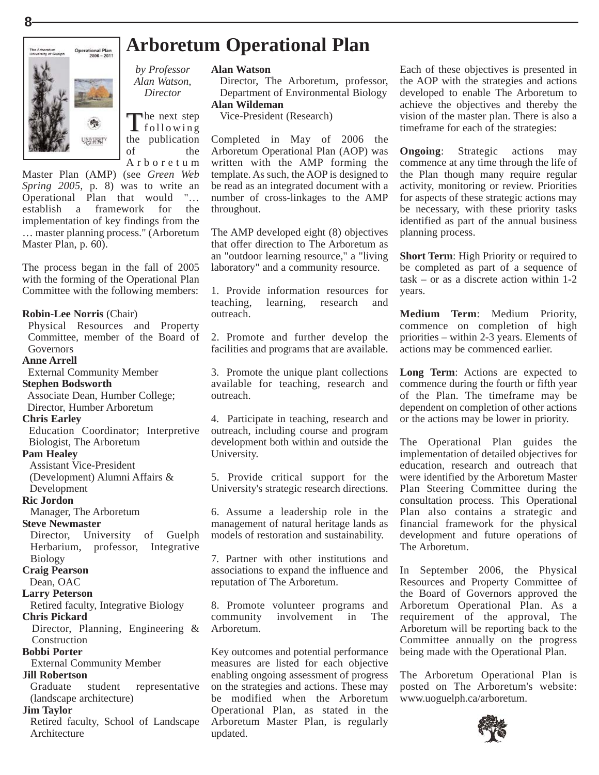

# **Arboretum Operational Plan**

#### **Alan Watson**

Director, The Arboretum, professor, Department of Environmental Biology

#### **Alan Wildeman**

Vice-President (Research)

Completed in May of 2006 the Arboretum Operational Plan (AOP) was written with the AMP forming the template. As such, the AOP is designed to be read as an integrated document with a number of cross-linkages to the AMP throughout.

The AMP developed eight (8) objectives that offer direction to The Arboretum as an "outdoor learning resource," a "living laboratory" and a community resource.

1. Provide information resources for teaching, learning, research and outreach.

2. Promote and further develop the facilities and programs that are available.

3. Promote the unique plant collections available for teaching, research and outreach.

4. Participate in teaching, research and outreach, including course and program development both within and outside the University.

5. Provide critical support for the University's strategic research directions.

6. Assume a leadership role in the management of natural heritage lands as models of restoration and sustainability.

7. Partner with other institutions and associations to expand the influence and reputation of The Arboretum.

8. Promote volunteer programs and community involvement in The Arboretum.

Key outcomes and potential performance measures are listed for each objective enabling ongoing assessment of progress on the strategies and actions. These may be modified when the Arboretum Operational Plan, as stated in the Arboretum Master Plan, is regularly updated.

Each of these objectives is presented in the AOP with the strategies and actions developed to enable The Arboretum to achieve the objectives and thereby the vision of the master plan. There is also a timeframe for each of the strategies:

**Ongoing**: Strategic actions may commence at any time through the life of the Plan though many require regular activity, monitoring or review. Priorities for aspects of these strategic actions may be necessary, with these priority tasks identified as part of the annual business planning process.

**Short Term:** High Priority or required to be completed as part of a sequence of task – or as a discrete action within 1-2 years.

**Medium Term**: Medium Priority, commence on completion of high priorities – within 2-3 years. Elements of actions may be commenced earlier.

**Long Term**: Actions are expected to commence during the fourth or fifth year of the Plan. The timeframe may be dependent on completion of other actions or the actions may be lower in priority.

The Operational Plan guides the implementation of detailed objectives for education, research and outreach that were identified by the Arboretum Master Plan Steering Committee during the consultation process. This Operational Plan also contains a strategic and financial framework for the physical development and future operations of The Arboretum.

In September 2006, the Physical Resources and Property Committee of the Board of Governors approved the Arboretum Operational Plan. As a requirement of the approval, The Arboretum will be reporting back to the Committee annually on the progress being made with the Operational Plan.

The Arboretum Operational Plan is posted on The Arboretum's website: www.uoguelph.ca/arboretum.



**Bobbi Porter**

#### **Jill Robertson**

Graduate student representative (landscape architecture)

#### **Jim Taylor**

Retired faculty, School of Landscape Architecture

*by Professor Alan Watson, Director*

The next step<br>following the publication of the Arboretum

Master Plan (AMP) (see *Green Web Spring 2005*, p. 8) was to write an Operational Plan that would "… establish a framework for the implementation of key findings from the … master planning process." (Arboretum Master Plan, p. 60).

The process began in the fall of 2005 with the forming of the Operational Plan Committee with the following members:

#### **Robin-Lee Norris** (Chair)

Physical Resources and Property Committee, member of the Board of **Governors** 

#### **Anne Arrell**

External Community Member

#### **Stephen Bodsworth**

Associate Dean, Humber College; Director, Humber Arboretum

#### **Chris Earley**

Education Coordinator; Interpretive Biologist, The Arboretum

#### **Pam Healey**

Assistant Vice-President

(Development) Alumni Affairs & Development

#### **Ric Jordon**

Manager, The Arboretum

#### **Steve Newmaster**

Director, University of Guelph Herbarium, professor, Integrative Biology

**Craig Pearson**

#### Dean, OAC

#### **Larry Peterson**

Retired faculty, Integrative Biology **Chris Pickard**

Director, Planning, Engineering & Construction

External Community Member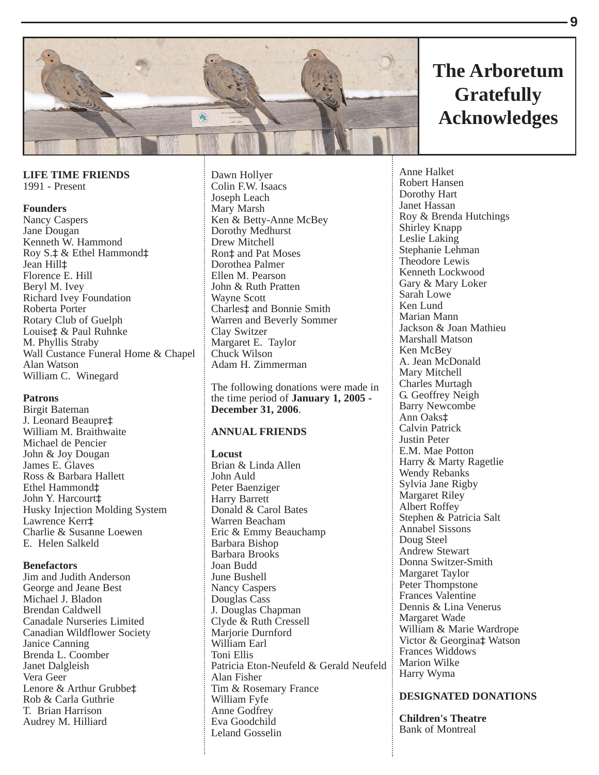

**LIFE TIME FRIENDS** 1991 - Present

#### **Founders**

Nancy Caspers Jane Dougan Kenneth W. Hammond Roy  $S.\ddagger \&$  Ethel Hammond $\ddagger$ Jean Hill<sup>±</sup> Florence E. Hill Beryl M. Ivey Richard Ivey Foundation Roberta Porter Rotary Club of Guelph Louise $\pm \&$  Paul Ruhnke M. Phyllis Straby Wall Custance Funeral Home & Chapel Alan Watson William C. Winegard

#### **Patrons**

Birgit Bateman J. Leonard Beaupre‡ William M. Braithwaite Michael de Pencier John & Joy Dougan James E. Glaves Ross & Barbara Hallett Ethel Hammond $\ddagger$ John Y. Harcourt $\pm$ Husky Injection Molding System Lawrence Kerr<sup>+</sup> Charlie & Susanne Loewen E. Helen Salkeld

#### **Benefactors**

Jim and Judith Anderson George and Jeane Best Michael J. Bladon Brendan Caldwell Canadale Nurseries Limited Canadian Wildflower Society Janice Canning Brenda L. Coomber Janet Dalgleish Vera Geer Lenore & Arthur Grubbe‡ Rob & Carla Guthrie T. Brian Harrison Audrey M. Hilliard

Dawn Hollyer Colin F.W. Isaacs Joseph Leach Mary Marsh Ken & Betty-Anne McBey Dorothy Medhurst Drew Mitchell Ron<sup>‡</sup> and Pat Moses Dorothea Palmer Ellen M. Pearson John & Ruth Pratten Wayne Scott Charles<sup>t</sup> and Bonnie Smith Warren and Beverly Sommer Clay Switzer Margaret E. Taylor Chuck Wilson Adam H. Zimmerman

The following donations were made in the time period of **January 1, 2005 - December 31, 2006**.

#### **ANNUAL FRIENDS**

#### **Locust**

Brian & Linda Allen John Auld Peter Baenziger Harry Barrett Donald & Carol Bates Warren Beacham Eric & Emmy Beauchamp Barbara Bishop Barbara Brooks Joan Budd June Bushell Nancy Caspers Douglas Cass J. Douglas Chapman Clyde & Ruth Cressell Marjorie Durnford William Earl Toni Ellis Patricia Eton-Neufeld & Gerald Neufeld Alan Fisher Tim & Rosemary France William Fyfe Anne Godfrey Eva Goodchild Leland Gosselin

# **The Arboretum Gratefully Acknowledges**

Anne Halket Robert Hansen Dorothy Hart Janet Hassan Roy & Brenda Hutchings Shirley Knapp Leslie Laking Stephanie Lehman Theodore Lewis Kenneth Lockwood Gary & Mary Loker Sarah Lowe Ken Lund Marian Mann Jackson & Joan Mathieu Marshall Matson Ken McBey A. Jean McDonald Mary Mitchell Charles Murtagh G. Geoffrey Neigh Barry Newcombe Ann Oakst Calvin Patrick Justin Peter E.M. Mae Potton Harry & Marty Ragetlie Wendy Rebanks Sylvia Jane Rigby Margaret Riley Albert Roffey Stephen & Patricia Salt Annabel Sissons Doug Steel Andrew Stewart Donna Switzer-Smith Margaret Taylor Peter Thompstone Frances Valentine Dennis & Lina Venerus Margaret Wade William & Marie Wardrope Victor & Georgina‡ Watson Frances Widdows Marion Wilke Harry Wyma

#### **DESIGNATED DONATIONS**

**Children's Theatre** Bank of Montreal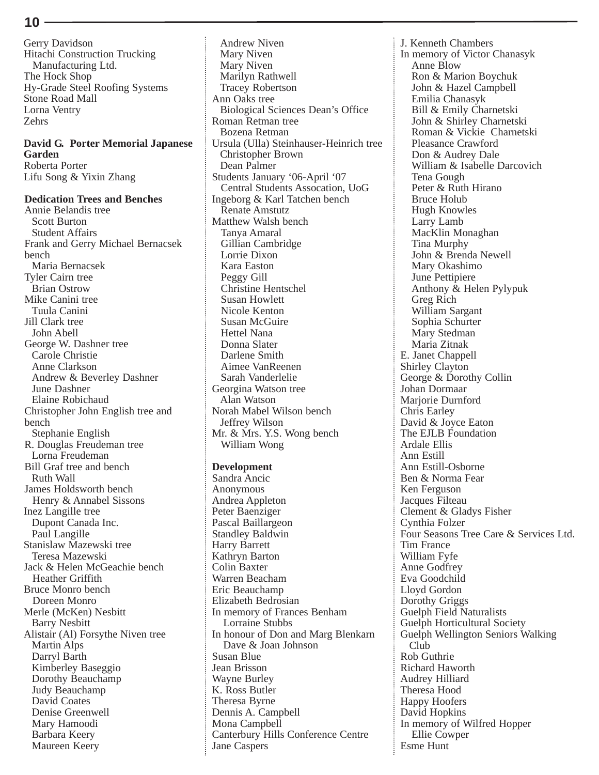Gerry Davidson Hitachi Construction Trucking Manufacturing Ltd. The Hock Shop Hy-Grade Steel Roofing Systems Stone Road Mall Lorna Ventry Zehrs

#### **David G. Porter Memorial Japanese Garden** Roberta Porter Lifu Song & Yixin Zhang

**Dedication Trees and Benches** Annie Belandis tree Scott Burton Student Affairs Frank and Gerry Michael Bernacsek bench Maria Bernacsek Tyler Cairn tree Brian Ostrow Mike Canini tree Tuula Canini Jill Clark tree John Abell George W. Dashner tree Carole Christie Anne Clarkson Andrew & Beverley Dashner June Dashner Elaine Robichaud Christopher John English tree and bench Stephanie English R. Douglas Freudeman tree Lorna Freudeman Bill Graf tree and bench Ruth Wall James Holdsworth bench Henry & Annabel Sissons Inez Langille tree Dupont Canada Inc. Paul Langille Stanislaw Mazewski tree Teresa Mazewski Jack & Helen McGeachie bench Heather Griffith Bruce Monro bench Doreen Monro Merle (McKen) Nesbitt Barry Nesbitt Alistair (Al) Forsythe Niven tree Martin Alps Darryl Barth Kimberley Baseggio Dorothy Beauchamp Judy Beauchamp David Coates Denise Greenwell Mary Hamoodi Barbara Keery Maureen Keery

Mary Niven Mary Niven Marilyn Rathwell Tracey Robertson Ann Oaks tree Biological Sciences Dean's Office Roman Retman tree Bozena Retman Ursula (Ulla) Steinhauser-Heinrich tree Christopher Brown Dean Palmer Students January '06-April '07 Central Students Assocation, UoG Ingeborg & Karl Tatchen bench Renate Amstutz Matthew Walsh bench Tanya Amaral Gillian Cambridge Lorrie Dixon Kara Easton Peggy Gill Christine Hentschel Susan Howlett Nicole Kenton Susan McGuire Hettel Nana Donna Slater Darlene Smith Aimee VanReenen Sarah Vanderlelie Georgina Watson tree Alan Watson Norah Mabel Wilson bench Jeffrey Wilson Mr. & Mrs. Y.S. Wong bench William Wong **Development** Sandra Ancic Anonymous Andrea Appleton Peter Baenziger Pascal Baillargeon Standley Baldwin Harry Barrett Kathryn Barton Colin Baxter Warren Beacham Eric Beauchamp Elizabeth Bedrosian In memory of Frances Benham Lorraine Stubbs In honour of Don and Marg Blenkarn Dave & Joan Johnson Susan Blue Jean Brisson Wayne Burley K. Ross Butler Theresa Byrne Dennis A. Campbell Mona Campbell Canterbury Hills Conference Centre Jane Caspers

Andrew Niven

J. Kenneth Chambers In memory of Victor Chanasyk Anne Blow Ron & Marion Boychuk John & Hazel Campbell Emilia Chanasyk Bill & Emily Charnetski John & Shirley Charnetski Roman & Vickie Charnetski Pleasance Crawford Don & Audrey Dale William & Isabelle Darcovich Tena Gough Peter & Ruth Hirano Bruce Holub Hugh Knowles Larry Lamb MacKlin Monaghan Tina Murphy John & Brenda Newell Mary Okashimo June Pettipiere Anthony & Helen Pylypuk Greg Rich William Sargant Sophia Schurter Mary Stedman Maria Zitnak E. Janet Chappell Shirley Clayton George & Dorothy Collin Johan Dormaar Mariorie Durnford Chris Earley David & Joyce Eaton The EJLB Foundation Ardale Ellis Ann Estill Ann Estill-Osborne Ben & Norma Fear Ken Ferguson Jacques Filteau Clement & Gladys Fisher Cynthia Folzer Four Seasons Tree Care & Services Ltd. Tim France William Fyfe Anne Godfrey Eva Goodchild Lloyd Gordon Dorothy Griggs Guelph Field Naturalists Guelph Horticultural Society Guelph Wellington Seniors Walking Club Rob Guthrie Richard Haworth Audrey Hilliard Theresa Hood Happy Hoofers David Hopkins In memory of Wilfred Hopper Ellie Cowper Esme Hunt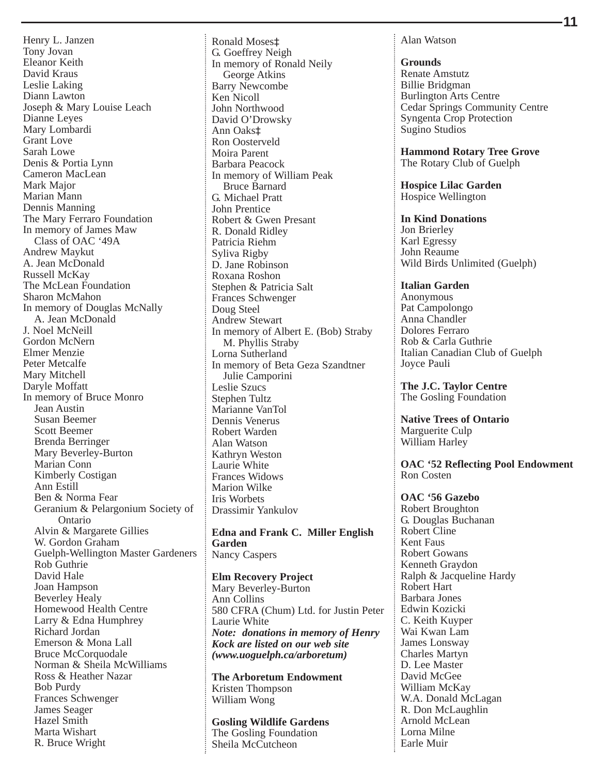Henry L. Janzen Tony Jovan Eleanor Keith David Kraus Leslie Laking Diann Lawton Joseph & Mary Louise Leach Dianne Leyes Mary Lombardi Grant Love Sarah Lowe Denis & Portia Lynn Cameron MacLean Mark Major Marian Mann Dennis Manning The Mary Ferraro Foundation In memory of James Maw Class of OAC '49A Andrew Maykut A. Jean McDonald Russell McKay The McLean Foundation Sharon McMahon In memory of Douglas McNally A. Jean McDonald J. Noel McNeill Gordon McNern Elmer Menzie Peter Metcalfe Mary Mitchell Daryle Moffatt In memory of Bruce Monro Jean Austin Susan Beemer Scott Beemer Brenda Berringer Mary Beverley-Burton Marian Conn Kimberly Costigan Ann Estill Ben & Norma Fear Geranium & Pelargonium Society of Ontario Alvin & Margarete Gillies W. Gordon Graham Guelph-Wellington Master Gardeners Rob Guthrie David Hale Joan Hampson Beverley Healy Homewood Health Centre Larry & Edna Humphrey Richard Jordan Emerson & Mona Lall Bruce McCorquodale Norman & Sheila McWilliams Ross & Heather Nazar Bob Purdy Frances Schwenger James Seager Hazel Smith Marta Wishart R. Bruce Wright

Ronald Moses<sup>‡</sup> G. Goeffrey Neigh In memory of Ronald Neily George Atkins Barry Newcombe Ken Nicoll John Northwood David O'Drowsky Ann Oaks $\ddagger$ Ron Oosterveld Moira Parent Barbara Peacock In memory of William Peak Bruce Barnard G. Michael Pratt John Prentice Robert & Gwen Presant R. Donald Ridley Patricia Riehm Syliva Rigby D. Jane Robinson Roxana Roshon Stephen & Patricia Salt Frances Schwenger Doug Steel Andrew Stewart In memory of Albert E. (Bob) Straby M. Phyllis Straby Lorna Sutherland In memory of Beta Geza Szandtner Julie Camporini Leslie Szucs Stephen Tultz Marianne VanTol Dennis Venerus Robert Warden Alan Watson Kathryn Weston Laurie White Frances Widows Marion Wilke Iris Worbets Drassimir Yankulov

**Edna and Frank C. Miller English Garden** Nancy Caspers

**Elm Recovery Project** Mary Beverley-Burton Ann Collins 580 CFRA (Chum) Ltd. for Justin Peter Laurie White *Note: donations in memory of Henry Kock are listed on our web site (www.uoguelph.ca/arboretum)*

**The Arboretum Endowment** Kristen Thompson William Wong

### **Gosling Wildlife Gardens**

The Gosling Foundation Sheila McCutcheon

Alan Watson

**Grounds** Renate Amstutz Billie Bridgman Burlington Arts Centre Cedar Springs Community Centre Syngenta Crop Protection Sugino Studios

**Hammond Rotary Tree Grove** The Rotary Club of Guelph

**Hospice Lilac Garden** Hospice Wellington

**In Kind Donations** Jon Brierley Karl Egressy John Reaume Wild Birds Unlimited (Guelph)

**Italian Garden** Anonymous Pat Campolongo Anna Chandler Dolores Ferraro Rob & Carla Guthrie Italian Canadian Club of Guelph Joyce Pauli

**The J.C. Taylor Centre** The Gosling Foundation

**Native Trees of Ontario** Marguerite Culp William Harley

**OAC '52 Reflecting Pool Endowment** Ron Costen

**OAC '56 Gazebo** Robert Broughton G. Douglas Buchanan Robert Cline Kent Faus Robert Gowans Kenneth Graydon Ralph & Jacqueline Hardy Robert Hart Barbara Jones Edwin Kozicki C. Keith Kuyper Wai Kwan Lam James Lonsway Charles Martyn D. Lee Master David McGee William McKay W.A. Donald McLagan R. Don McLaughlin Arnold McLean Lorna Milne Earle Muir

**11**